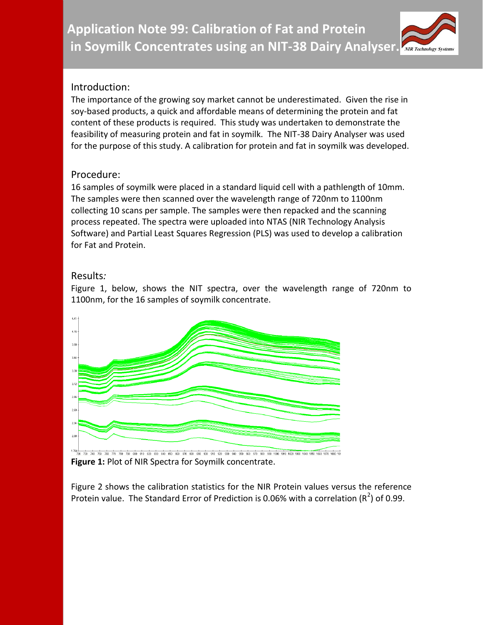**Application Note 99: Calibration of Fat and Protein in Soymilk Concentrates using an NIT-38 Dairy Analyser.**

# Introduction:

The importance of the growing soy market cannot be underestimated. Given the rise in soy-based products, a quick and affordable means of determining the protein and fat content of these products is required. This study was undertaken to demonstrate the feasibility of measuring protein and fat in soymilk. The NIT-38 Dairy Analyser was used for the purpose of this study. A calibration for protein and fat in soymilk was developed.

## Procedure:

16 samples of soymilk were placed in a standard liquid cell with a pathlength of 10mm. The samples were then scanned over the wavelength range of 720nm to 1100nm collecting 10 scans per sample. The samples were then repacked and the scanning process repeated. The spectra were uploaded into NTAS (NIR Technology Analysis Software) and Partial Least Squares Regression (PLS) was used to develop a calibration for Fat and Protein.

## Results*:*

Figure 1, below, shows the NIT spectra, over the wavelength range of 720nm to 1100nm, for the 16 samples of soymilk concentrate.



**Figure 1:** Plot of NIR Spectra for Soymilk concentrate.

Figure 2 shows the calibration statistics for the NIR Protein values versus the reference Protein value. The Standard Error of Prediction is 0.06% with a correlation (R<sup>2</sup>) of 0.99.